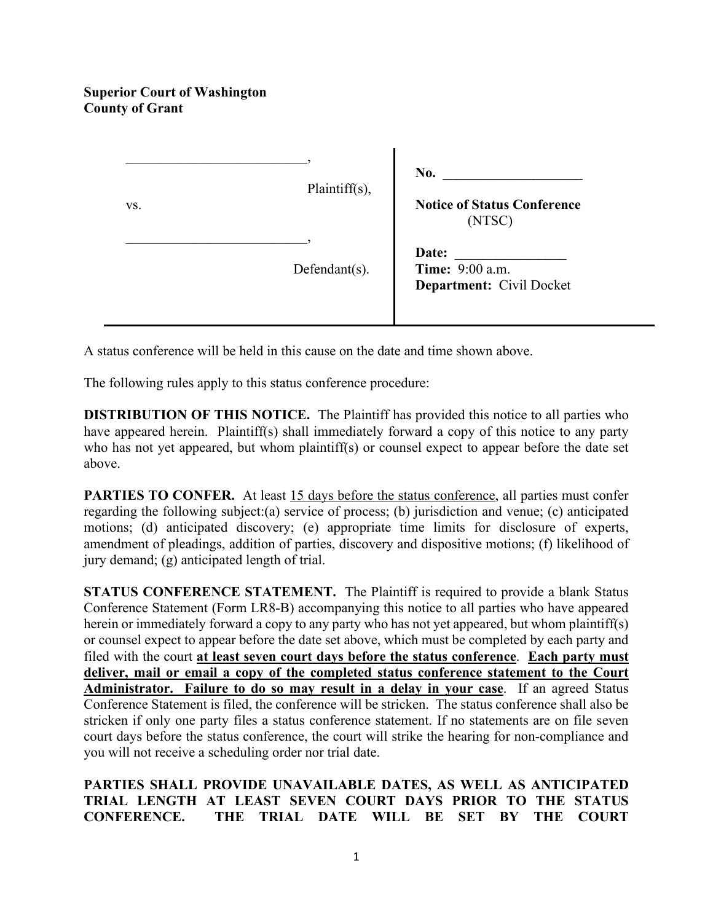## **Superior Court of Washington County of Grant**

| VS. | Plaintiff(s),    | No.<br><b>Notice of Status Conference</b><br>(NTSC)         |
|-----|------------------|-------------------------------------------------------------|
|     | $Defendant(s)$ . | Date:<br>Time: 9:00 a.m.<br><b>Department:</b> Civil Docket |

A status conference will be held in this cause on the date and time shown above.

The following rules apply to this status conference procedure:

**DISTRIBUTION OF THIS NOTICE.** The Plaintiff has provided this notice to all parties who have appeared herein. Plaintiff(s) shall immediately forward a copy of this notice to any party who has not yet appeared, but whom plaintiff(s) or counsel expect to appear before the date set above.

**PARTIES TO CONFER.** At least 15 days before the status conference, all parties must confer regarding the following subject:(a) service of process; (b) jurisdiction and venue; (c) anticipated motions; (d) anticipated discovery; (e) appropriate time limits for disclosure of experts, amendment of pleadings, addition of parties, discovery and dispositive motions; (f) likelihood of jury demand; (g) anticipated length of trial.

**STATUS CONFERENCE STATEMENT.** The Plaintiff is required to provide a blank Status Conference Statement (Form LR8-B) accompanying this notice to all parties who have appeared herein or immediately forward a copy to any party who has not yet appeared, but whom plaintiff(s) or counsel expect to appear before the date set above, which must be completed by each party and filed with the court **at least seven court days before the status conference**. **Each party must deliver, mail or email a copy of the completed status conference statement to the Court Administrator. Failure to do so may result in a delay in your case**. If an agreed Status Conference Statement is filed, the conference will be stricken. The status conference shall also be stricken if only one party files a status conference statement. If no statements are on file seven court days before the status conference, the court will strike the hearing for non-compliance and you will not receive a scheduling order nor trial date.

**PARTIES SHALL PROVIDE UNAVAILABLE DATES, AS WELL AS ANTICIPATED TRIAL LENGTH AT LEAST SEVEN COURT DAYS PRIOR TO THE STATUS CONFERENCE. THE TRIAL DATE WILL BE SET BY THE COURT**